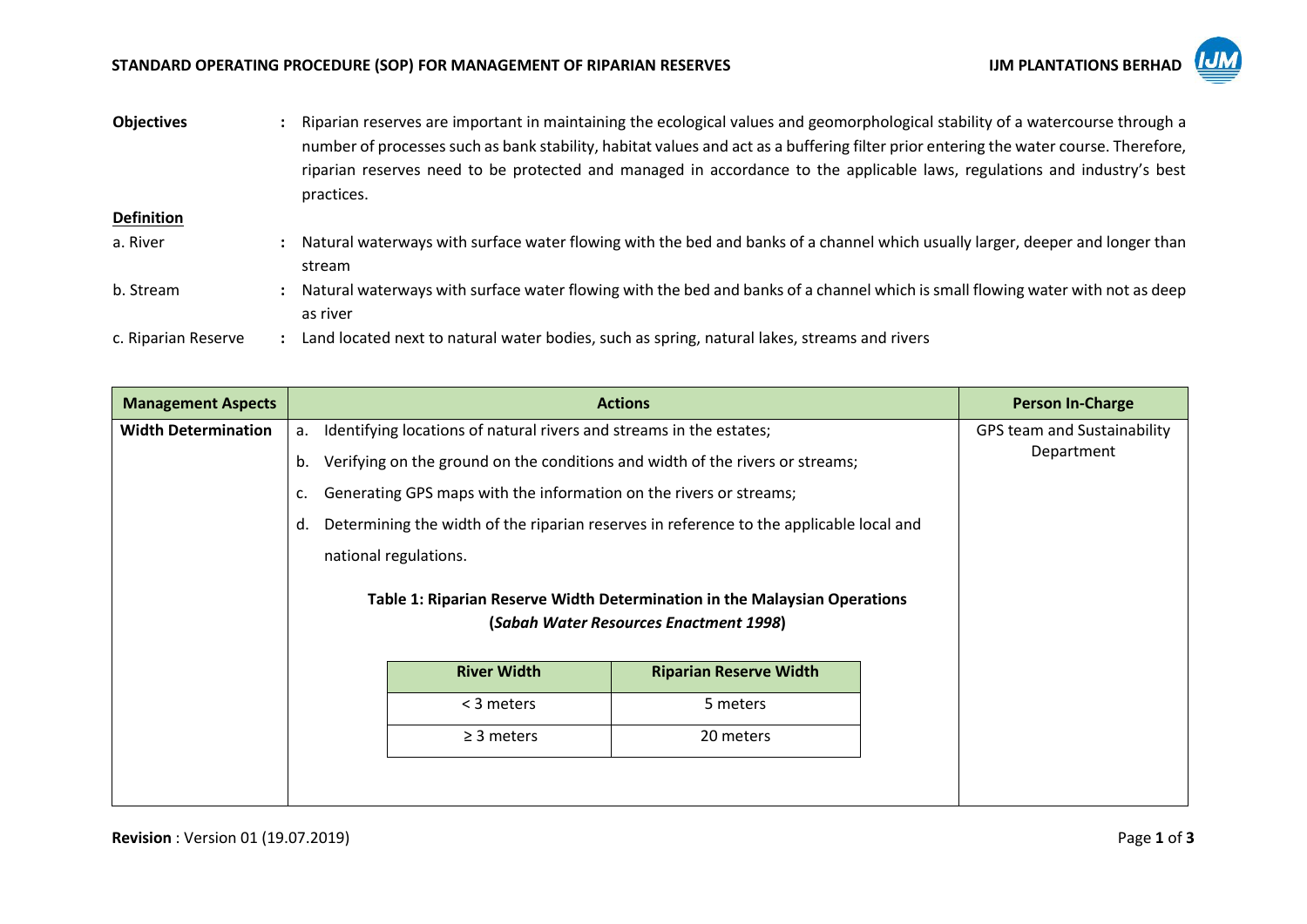## STANDARD OPERATING PROCEDURE (SOP) FOR MANAGEMENT OF RIPARIAN RESERVES **INVESTIGATION ASSESS** IJM PLANTATIONS BERHAD



| <b>Objectives</b>   | Riparian reserves are important in maintaining the ecological values and geomorphological stability of a watercourse through a<br>number of processes such as bank stability, habitat values and act as a buffering filter prior entering the water course. Therefore,<br>riparian reserves need to be protected and managed in accordance to the applicable laws, regulations and industry's best<br>practices. |
|---------------------|------------------------------------------------------------------------------------------------------------------------------------------------------------------------------------------------------------------------------------------------------------------------------------------------------------------------------------------------------------------------------------------------------------------|
| <b>Definition</b>   |                                                                                                                                                                                                                                                                                                                                                                                                                  |
| a. River            | Natural waterways with surface water flowing with the bed and banks of a channel which usually larger, deeper and longer than                                                                                                                                                                                                                                                                                    |
|                     | stream                                                                                                                                                                                                                                                                                                                                                                                                           |
| b. Stream           | Natural waterways with surface water flowing with the bed and banks of a channel which is small flowing water with not as deep                                                                                                                                                                                                                                                                                   |
|                     | as river                                                                                                                                                                                                                                                                                                                                                                                                         |
| c. Riparian Reserve | Land located next to natural water bodies, such as spring, natural lakes, streams and rivers                                                                                                                                                                                                                                                                                                                     |

| <b>Management Aspects</b>  |    | <b>Actions</b>                                                                                                      | <b>Person In-Charge</b>                   |  |  |
|----------------------------|----|---------------------------------------------------------------------------------------------------------------------|-------------------------------------------|--|--|
| <b>Width Determination</b> | а. | Identifying locations of natural rivers and streams in the estates;                                                 | GPS team and Sustainability<br>Department |  |  |
|                            | b. | Verifying on the ground on the conditions and width of the rivers or streams;                                       |                                           |  |  |
|                            | c. | Generating GPS maps with the information on the rivers or streams;                                                  |                                           |  |  |
|                            | d. | Determining the width of the riparian reserves in reference to the applicable local and                             |                                           |  |  |
|                            |    | national regulations.                                                                                               |                                           |  |  |
|                            |    | Table 1: Riparian Reserve Width Determination in the Malaysian Operations<br>(Sabah Water Resources Enactment 1998) |                                           |  |  |
|                            |    | <b>River Width</b><br><b>Riparian Reserve Width</b>                                                                 |                                           |  |  |
|                            |    | < 3 meters<br>5 meters                                                                                              |                                           |  |  |
|                            |    | $\geq$ 3 meters<br>20 meters                                                                                        |                                           |  |  |
|                            |    |                                                                                                                     |                                           |  |  |
|                            |    |                                                                                                                     |                                           |  |  |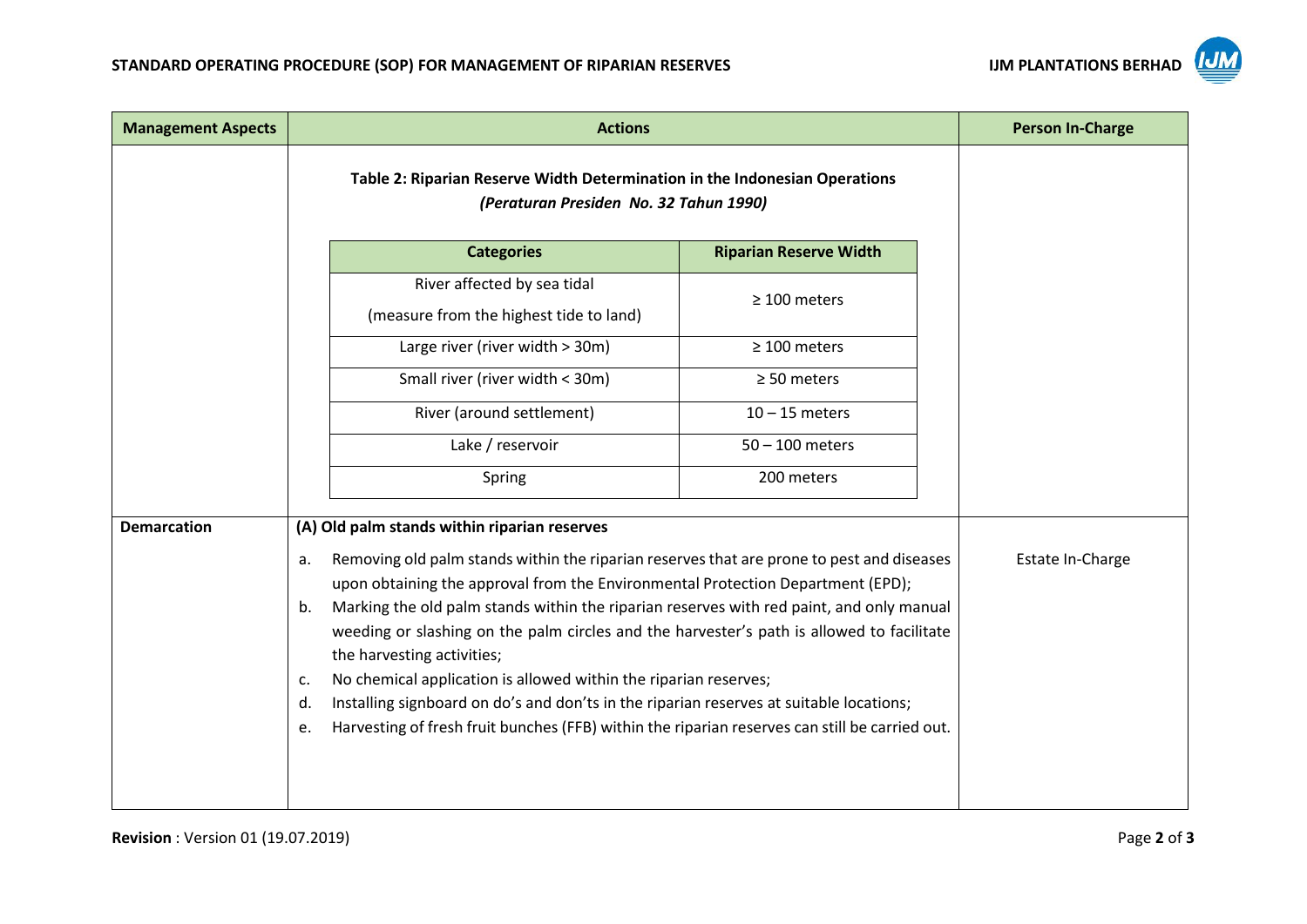

| <b>Management Aspects</b> | <b>Actions</b>                                                                                                                                                                                                                                                                                                                                                                                                                                                                                                                                                                                                                                                                                     |                               | <b>Person In-Charge</b> |
|---------------------------|----------------------------------------------------------------------------------------------------------------------------------------------------------------------------------------------------------------------------------------------------------------------------------------------------------------------------------------------------------------------------------------------------------------------------------------------------------------------------------------------------------------------------------------------------------------------------------------------------------------------------------------------------------------------------------------------------|-------------------------------|-------------------------|
|                           | Table 2: Riparian Reserve Width Determination in the Indonesian Operations<br>(Peraturan Presiden No. 32 Tahun 1990)                                                                                                                                                                                                                                                                                                                                                                                                                                                                                                                                                                               |                               |                         |
|                           | <b>Categories</b>                                                                                                                                                                                                                                                                                                                                                                                                                                                                                                                                                                                                                                                                                  | <b>Riparian Reserve Width</b> |                         |
|                           | River affected by sea tidal<br>(measure from the highest tide to land)                                                                                                                                                                                                                                                                                                                                                                                                                                                                                                                                                                                                                             | $\geq 100$ meters             |                         |
|                           | Large river (river width > 30m)                                                                                                                                                                                                                                                                                                                                                                                                                                                                                                                                                                                                                                                                    | $\geq 100$ meters             |                         |
|                           | Small river (river width < 30m)                                                                                                                                                                                                                                                                                                                                                                                                                                                                                                                                                                                                                                                                    | $\geq$ 50 meters              |                         |
|                           | River (around settlement)                                                                                                                                                                                                                                                                                                                                                                                                                                                                                                                                                                                                                                                                          | $10 - 15$ meters              |                         |
|                           | Lake / reservoir                                                                                                                                                                                                                                                                                                                                                                                                                                                                                                                                                                                                                                                                                   | $50 - 100$ meters             |                         |
|                           | Spring                                                                                                                                                                                                                                                                                                                                                                                                                                                                                                                                                                                                                                                                                             | 200 meters                    |                         |
| <b>Demarcation</b>        | (A) Old palm stands within riparian reserves                                                                                                                                                                                                                                                                                                                                                                                                                                                                                                                                                                                                                                                       |                               |                         |
|                           | Removing old palm stands within the riparian reserves that are prone to pest and diseases<br>a.<br>upon obtaining the approval from the Environmental Protection Department (EPD);<br>Marking the old palm stands within the riparian reserves with red paint, and only manual<br>b.<br>weeding or slashing on the palm circles and the harvester's path is allowed to facilitate<br>the harvesting activities;<br>No chemical application is allowed within the riparian reserves;<br>c.<br>Installing signboard on do's and don'ts in the riparian reserves at suitable locations;<br>d.<br>Harvesting of fresh fruit bunches (FFB) within the riparian reserves can still be carried out.<br>e. | Estate In-Charge              |                         |